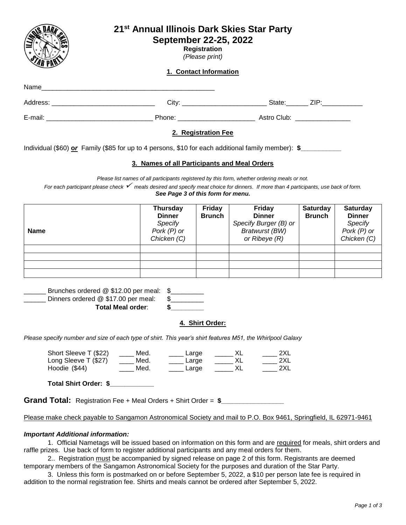|                                                                                                                                                                                                                                                                   | 21 <sup>st</sup> Annual Illinois Dark Skies Star Party<br>September 22-25, 2022                                                                                                    | <b>Registration</b><br>(Please print)<br>1. Contact Information |                                                                                                   |                                  |                                                                             |
|-------------------------------------------------------------------------------------------------------------------------------------------------------------------------------------------------------------------------------------------------------------------|------------------------------------------------------------------------------------------------------------------------------------------------------------------------------------|-----------------------------------------------------------------|---------------------------------------------------------------------------------------------------|----------------------------------|-----------------------------------------------------------------------------|
|                                                                                                                                                                                                                                                                   |                                                                                                                                                                                    |                                                                 |                                                                                                   |                                  |                                                                             |
|                                                                                                                                                                                                                                                                   |                                                                                                                                                                                    |                                                                 |                                                                                                   |                                  |                                                                             |
|                                                                                                                                                                                                                                                                   |                                                                                                                                                                                    |                                                                 |                                                                                                   |                                  |                                                                             |
| Individual (\$60) or Family (\$85 for up to 4 persons, \$10 for each additional family member): $\frac{2}{3}$<br>For each participant please check $\checkmark$ meals desired and specify meat choice for dinners. If more than 4 participants, use back of form. | 3. Names of all Participants and Meal Orders<br>Please list names of all participants registered by this form, whether ordering meals or not.<br>See Page 3 of this form for menu. | 2. Registration Fee                                             |                                                                                                   |                                  |                                                                             |
| <b>Name</b>                                                                                                                                                                                                                                                       | <b>Thursday</b><br><b>Dinner</b><br><b>Specify</b><br>Pork $(P)$ or<br>Chicken (C)                                                                                                 | <b>Friday</b><br><b>Brunch</b>                                  | <b>Friday</b><br><b>Dinner</b><br>Specify Burger (B) or<br><b>Bratwurst (BW)</b><br>or Ribeye (R) | <b>Saturday</b><br><b>Brunch</b> | <b>Saturday</b><br><b>Dinner</b><br>Specify<br>Pork $(P)$ or<br>Chicken (C) |
|                                                                                                                                                                                                                                                                   |                                                                                                                                                                                    |                                                                 |                                                                                                   |                                  |                                                                             |

| Total Meal order:                       |  |
|-----------------------------------------|--|
| Dinners ordered @ \$17.00 per meal:     |  |
| Brunches ordered @ \$12.00 per meal: \$ |  |

#### **4. Shirt Order:**

*Please specify number and size of each type of shirt. This year's shirt features M51, the Whirlpool Galaxy*

| Short Sleeve T (\$22) | Med. | Large | 2XL  |
|-----------------------|------|-------|------|
| Long Sleeve T (\$27)  | Med. | Large | 2XL  |
| Hoodie (\$44)         | Med. | Large | 2XL. |

**Total Shirt Order: \$\_\_\_\_\_\_\_\_\_\_\_\_**

**Grand Total:** Registration Fee + Meal Orders + Shirt Order = **\$\_\_\_\_\_\_\_\_\_\_\_\_\_\_\_\_\_** 

Please make check payable to Sangamon Astronomical Society and mail to P.O. Box 9461, Springfield, IL 62971-9461

# *Important Additional information:*

1. Official Nametags will be issued based on information on this form and are required for meals, shirt orders and raffle prizes. Use back of form to register additional participants and any meal orders for them.

2.. Registration must be accompanied by signed release on page 2 of this form. Registrants are deemed temporary members of the Sangamon Astronomical Society for the purposes and duration of the Star Party.

3. Unless this form is postmarked on or before September 5, 2022, a \$10 per person late fee is required in addition to the normal registration fee. Shirts and meals cannot be ordered after September 5, 2022.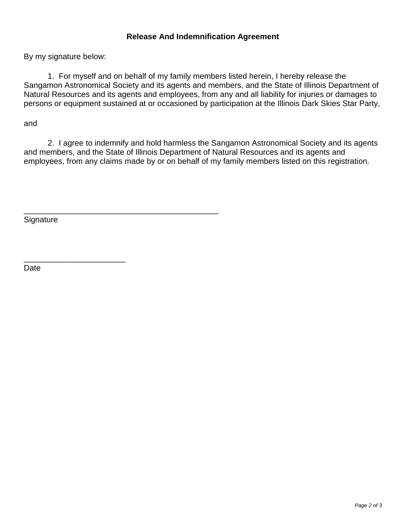# **Release And Indemnification Agreement**

By my signature below:

1. For myself and on behalf of my family members listed herein, I hereby release the Sangamon Astronomical Society and its agents and members, and the State of Illinois Department of Natural Resources and its agents and employees, from any and all liability for injuries or damages to persons or equipment sustained at or occasioned by participation at the Illinois Dark Skies Star Party,

and

2. I agree to indemnify and hold harmless the Sangamon Astronomical Society and its agents and members, and the State of Illinois Department of Natural Resources and its agents and employees, from any claims made by or on behalf of my family members listed on this registration.

**Signature** 

\_\_\_\_\_\_\_\_\_\_\_\_\_\_\_\_\_\_\_\_\_\_\_

\_\_\_\_\_\_\_\_\_\_\_\_\_\_\_\_\_\_\_\_\_\_\_\_\_\_\_\_\_\_\_\_\_\_\_\_\_\_\_\_\_\_\_\_

Date